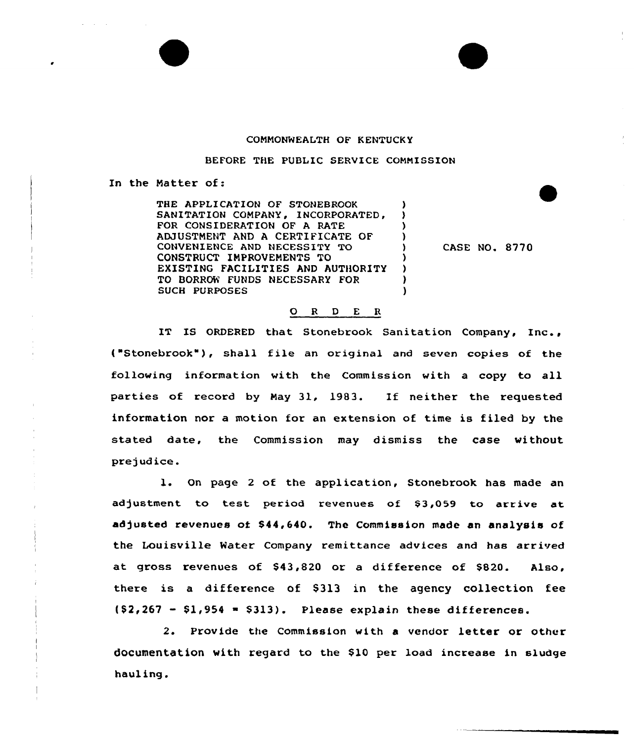## COMMONWEALTH OF KENTUCKY

BEFORE THE PUBLIC SERVICE CONNISSION

In the Natter of:

THE APPLICATION OF STONEBROOK SANITATION COMPANY, INCORPORATED, FOR CONSIDERATION OF A RATE AMUSTNENT AND A CERTIFICATE OF CONVENIENCE AND NECESSITY TO CONSTRUCT INPROVENENTS TO EXISTING FACILITIES AND AUTHORITY TO BORRCN FUNDS NECESSARY FOR SUCH PURPOSES

CASE NO. 8770

## 0 <sup>R</sup> <sup>D</sup> <sup>E</sup> <sup>R</sup>

IT IS ORDERED that Stonebrook Sanitation Company, Inc., ("Stonebrook"), shall file an original and seven copies of the following information with the Commission with a copy to all parties of record by Nay 31, 1983. If neither the requested information nor a motion for an extension of time is filed by the stated date, the Commission may dismiss the case without prejudice.

l. On page <sup>2</sup> of the application, Stonebrook has made an adjustment to test period revenues of \$3,059 to arrive at adjusted revenues of \$44,640. The Commission made an analysis of the Louisville Mater Company remittance advices and has arrived at; gross revenues of \$43,820 or a difference of \$820. Also, there is a difference of \$313 in the agency collection fee  $(52,267 - 51,954 - 5313)$ . Please explain these differences.

2. Provide the Commission with <sup>a</sup> vendor letter or other documentation with regard to the \$10 per load increase in sludge hauling.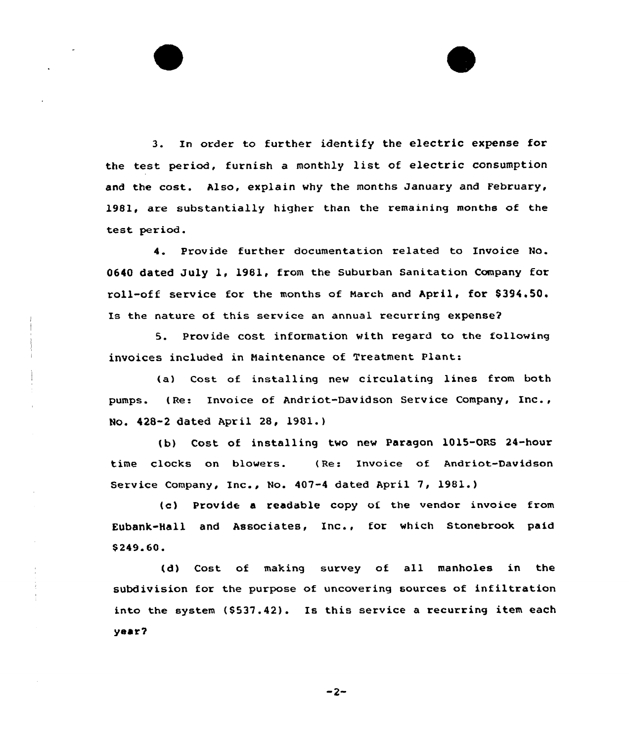3. In order to further identify the electric expense for the test period, furnish a monthly list of electric consumption and the cost. Also, explain why the months January and February, 1981, are substantially higher than the remaining months of the test period.

4. Provide further documentation related to Invoice No. 0640 dated July 1, 1981, from the Suburban Sanitation Company for roll-off service for the months of March and April, for \$394.50. Is the nature of this service an annual recurring expense?

5. Provide cost information with regard to the following invoices included in Maintenance of Treatment Plant:

(a) Cost of installing new circulating lines from both pumps. (Re: Invoice of Andriot-Davidson Service Company, Inc., No. 428-2 dated April 28, 1901.)

(b) Cost of installing two new Paragon 1015-ORS 24-hour time clocks on blowers. ( Re: Invoice of Andriot-Davidson Service Company, Inc., No. 407-4 dated April 7, 1981.)

(c) Provide a readable copy of the vendor invoice from Eubank-Hall and Associates, Inc., for which Stonebrook paid \$ 249.60.

(d) Cost of making survey of all manholes in the subdivision for the purpose of uncovering sources of infiltration into the system (S537.42). Is this service a recurring item each yBor2

 $-2-$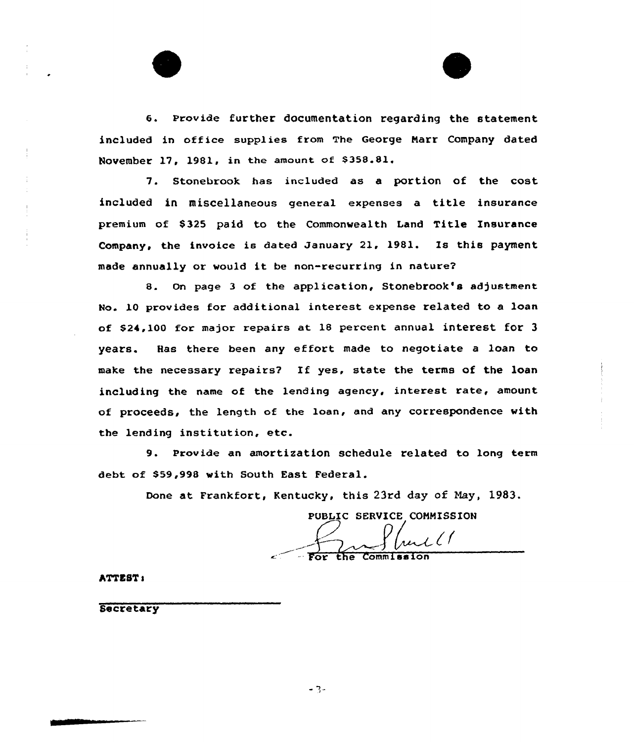



6. Provide further documentation regarding the statement included in office supplies from The George Narr Company dated November 17, 1981, in the amount of  $$358.81$ .

7. Stonebrook has included as a portion of the cost included in miscellaneous general expenses a title insurance premium of \$325 paid to the Commonwealth Land Title Insurance Company, the invoice is dated January 21. 1981. Is this payment made annually or would it be non-recurring in nature2

8. On page <sup>3</sup> of the application, Stonebrook's adjustment No. 10 provides for additional interest expense related to a loan of \$24,100 for major repairs at 18 percent annual interest for 3 years. Has there been any effort made to negotiate <sup>a</sup> loan to make the necessary repairs7 If yes, state the terms of the loan including the name of the lending agency, interest rate, amount of proceeds, the length of the loan, and any correspondence with the lending institution, etc.

9. Provide an amortization schedule related to long term debt of \$59,998 with South East Federal.

Done at Frankfort, Kentucky, this 23rd day of Nay, 1983.

PUBLIC SERVICE COMMISSION

 $\mathcal{L}$ l (

the Commissio

ATTSST I

**Secretary**